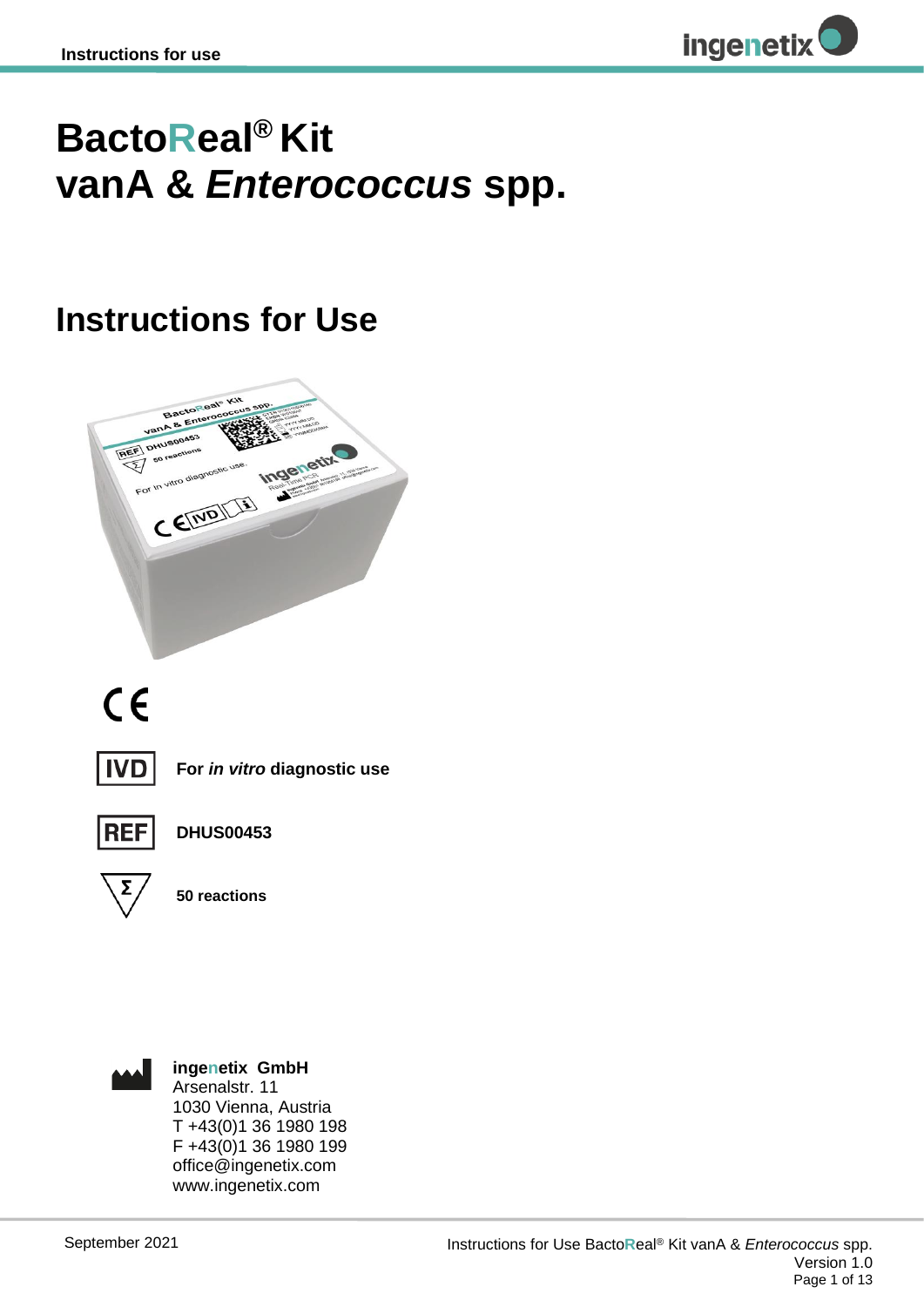

## **BactoReal® Kit vanA &** *Enterococcus* **spp.**

## **Instructions for Use**



# $C \in$



**For** *in vitro* **diagnostic use**



**DHUS00453**



**50 reactions**



**ingenetix GmbH** Arsenalstr. 11 1030 Vienna, Austria T +43(0)1 36 1980 198 F +43(0)1 36 1980 199 office@ingenetix.com www.ingenetix.com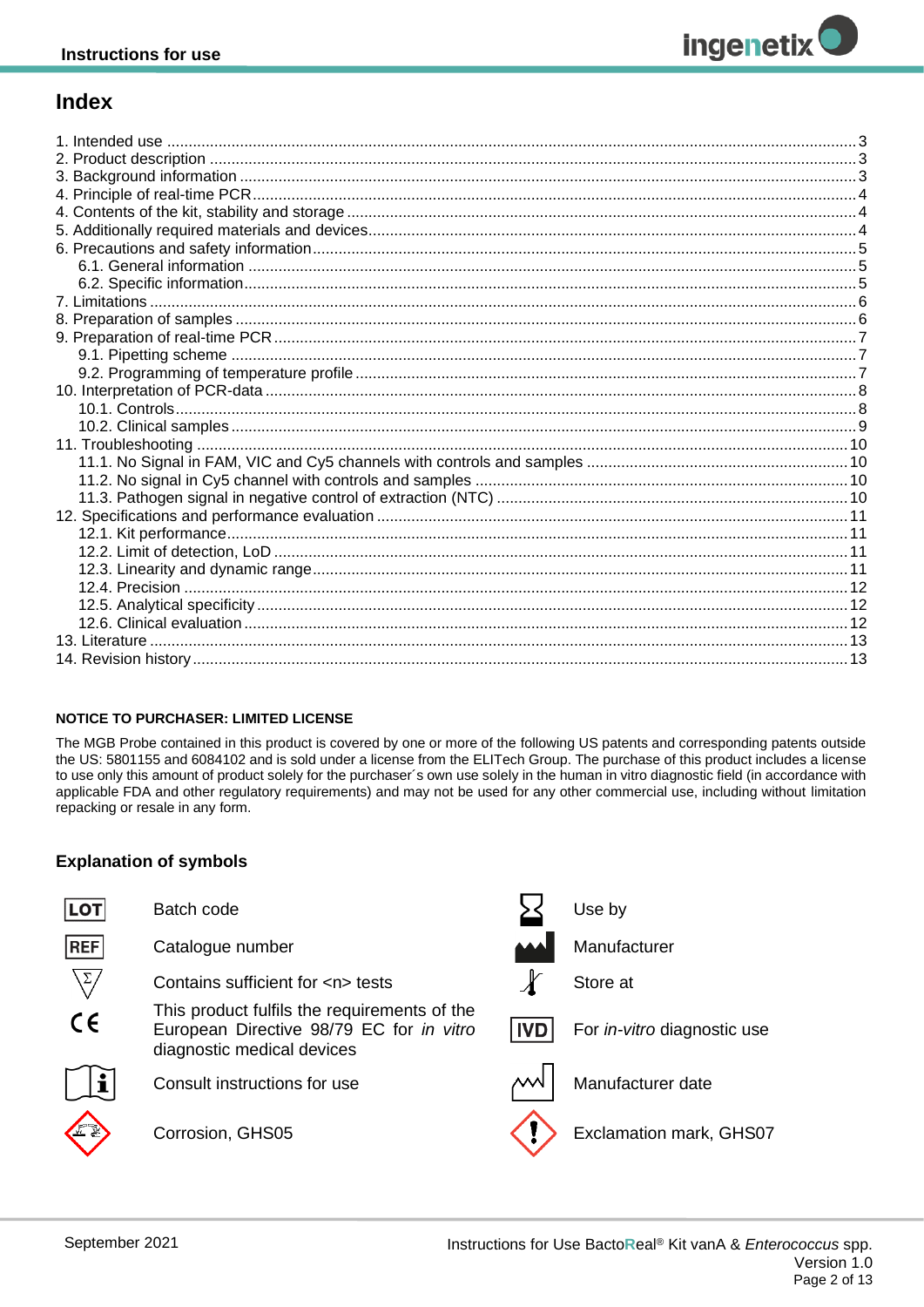## **Index**

#### **NOTICE TO PURCHASER: LIMITED LICENSE**

The MGB Probe contained in this product is covered by one or more of the following US patents and corresponding patents outside the US: 5801155 and 6084102 and is sold under a license from the ELITech Group. The purchase of this product includes a license to use only this amount of product solely for the purchaser's own use solely in the human in vitro diagnostic field (in accordance with applicable FDA and other regulatory requirements) and may not be used for any other commercial use, including without limitation repacking or resale in any form.

#### **Explanation of symbols**

| <b>LOT</b>      | Batch code                                                                                                             |            | Use by                             |
|-----------------|------------------------------------------------------------------------------------------------------------------------|------------|------------------------------------|
| REF             | Catalogue number                                                                                                       |            | Manufacturer                       |
| $\sqrt{\Sigma}$ | Contains sufficient for <n> tests</n>                                                                                  |            | Store at                           |
| $C \in$         | This product fulfils the requirements of the<br>European Directive 98/79 EC for in vitro<br>diagnostic medical devices | <b>IVD</b> | For <i>in-vitro</i> diagnostic use |
|                 | Consult instructions for use                                                                                           | ∼          | Manufacturer date                  |
|                 | Corrosion, GHS05                                                                                                       |            | Exclamation mark, GHS07            |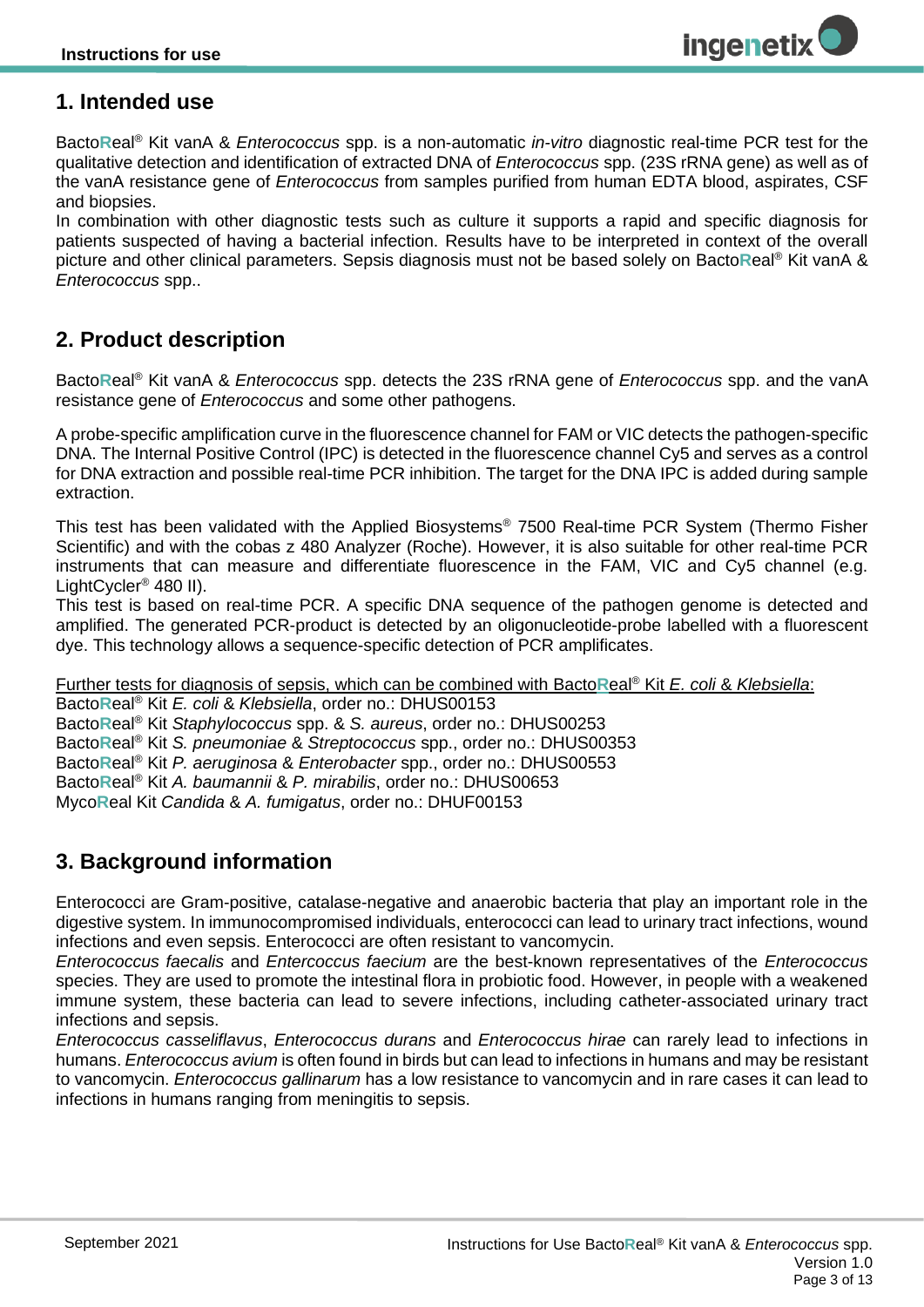## <span id="page-2-0"></span>**1. Intended use**

Bacto**R**eal® Kit vanA & *Enterococcus* spp. is a non-automatic *in-vitro* diagnostic real-time PCR test for the qualitative detection and identification of extracted DNA of *Enterococcus* spp. (23S rRNA gene) as well as of the vanA resistance gene of *Enterococcus* from samples purified from human EDTA blood, aspirates, CSF and biopsies.

In combination with other diagnostic tests such as culture it supports a rapid and specific diagnosis for patients suspected of having a bacterial infection. Results have to be interpreted in context of the overall picture and other clinical parameters. Sepsis diagnosis must not be based solely on Bacto**R**eal® Kit vanA & *Enterococcus* spp..

## <span id="page-2-1"></span>**2. Product description**

Bacto**R**eal® Kit vanA & *Enterococcus* spp. detects the 23S rRNA gene of *Enterococcus* spp. and the vanA resistance gene of *Enterococcus* and some other pathogens.

A probe-specific amplification curve in the fluorescence channel for FAM or VIC detects the pathogen-specific DNA. The Internal Positive Control (IPC) is detected in the fluorescence channel Cy5 and serves as a control for DNA extraction and possible real-time PCR inhibition. The target for the DNA IPC is added during sample extraction.

This test has been validated with the Applied Biosystems® 7500 Real-time PCR System (Thermo Fisher Scientific) and with the cobas z 480 Analyzer (Roche). However, it is also suitable for other real-time PCR instruments that can measure and differentiate fluorescence in the FAM, VIC and Cy5 channel (e.g. LightCycler® 480 II).

This test is based on real-time PCR. A specific DNA sequence of the pathogen genome is detected and amplified. The generated PCR-product is detected by an oligonucleotide-probe labelled with a fluorescent dye. This technology allows a sequence-specific detection of PCR amplificates.

Further tests for diagnosis of sepsis, which can be combined with Bacto**R**eal® Kit *E. coli* & *Klebsiella*:

Bacto**R**eal® Kit *E. coli* & *Klebsiella*, order no.: DHUS00153

Bacto**R**eal® Kit *Staphylococcus* spp. & *S. aureus*, order no.: DHUS00253

Bacto**R**eal® Kit *S. pneumoniae* & *Streptococcus* spp., order no.: DHUS00353

Bacto**R**eal® Kit *P. aeruginosa* & *Enterobacter* spp., order no.: DHUS00553

Bacto**R**eal® Kit *A. baumannii* & *P. mirabilis*, order no.: DHUS00653

<span id="page-2-2"></span>Myco**R**eal Kit *Candida* & *A. fumigatus*, order no.: DHUF00153

## **3. Background information**

Enterococci are Gram-positive, catalase-negative and anaerobic bacteria that play an important role in the digestive system. In immunocompromised individuals, enterococci can lead to urinary tract infections, wound infections and even sepsis. Enterococci are often resistant to vancomycin.

*Enterococcus faecalis* and *Entercoccus faecium* are the best-known representatives of the *Enterococcus*  species. They are used to promote the intestinal flora in probiotic food. However, in people with a weakened immune system, these bacteria can lead to severe infections, including catheter-associated urinary tract infections and sepsis.

*Enterococcus casseliflavus*, *Enterococcus durans* and *Enterococcus hirae* can rarely lead to infections in humans. *Enterococcus avium* is often found in birds but can lead to infections in humans and may be resistant to vancomycin. *Enterococcus gallinarum* has a low resistance to vancomycin and in rare cases it can lead to infections in humans ranging from meningitis to sepsis.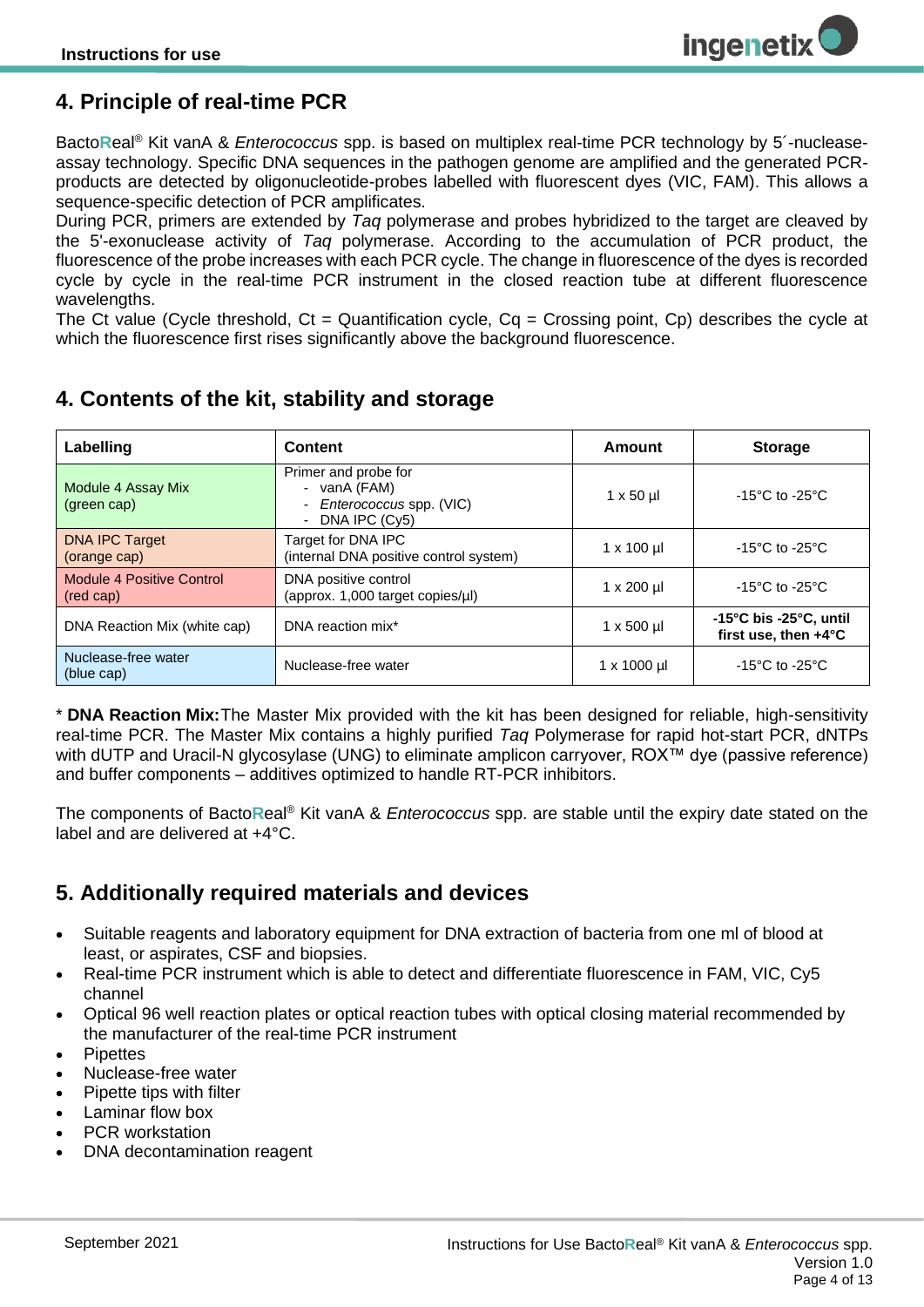## <span id="page-3-0"></span>**4. Principle of real-time PCR**

Bacto**R**eal® Kit vanA & *Enterococcus* spp. is based on multiplex real-time PCR technology by 5´-nucleaseassay technology. Specific DNA sequences in the pathogen genome are amplified and the generated PCRproducts are detected by oligonucleotide-probes labelled with fluorescent dyes (VIC, FAM). This allows a sequence-specific detection of PCR amplificates.

During PCR, primers are extended by *Taq* polymerase and probes hybridized to the target are cleaved by the 5'-exonuclease activity of *Taq* polymerase. According to the accumulation of PCR product, the fluorescence of the probe increases with each PCR cycle. The change in fluorescence of the dyes is recorded cycle by cycle in the real-time PCR instrument in the closed reaction tube at different fluorescence wavelengths.

The Ct value (Cycle threshold,  $Ct =$  Quantification cycle,  $Cq =$  Crossing point,  $Cp$ ) describes the cycle at which the fluorescence first rises significantly above the background fluorescence.

#### **Labelling Content Amount Storage** Module 4 Assay Mix (green cap) Primer and probe for *-* vanA (FAM) *- Enterococcus* spp. (VIC) *-* DNA IPC (Cy5)  $1 \times 50 \,\mu$   $\phantom{0}$  -15°C to -25°C DNA IPC Target (orange cap) Target for DNA IPC (internal DNA positive control system)  $1 \times 100 \,\mu$   $\vert$  -15°C to -25°C Module 4 Positive Control (red cap) DNA positive control DINA positive control<br>(approx. 1,000 target copies/µl)  $1 \times 200 \text{ µl}$  -15°C to -25°C DNA Reaction Mix (white cap) DNA reaction mix<sup>\*</sup> 1 x 500 µl **-15°C bis -25°C, until -15°C** bis -25°C, until **first use, then +4°C**

## <span id="page-3-1"></span>**4. Contents of the kit, stability and storage**

\* **DNA Reaction Mix:**The Master Mix provided with the kit has been designed for reliable, high-sensitivity real-time PCR. The Master Mix contains a highly purified *Taq* Polymerase for rapid hot-start PCR, dNTPs with dUTP and Uracil-N glycosylase (UNG) to eliminate amplicon carryover, ROX™ dye (passive reference) and buffer components – additives optimized to handle RT-PCR inhibitors.

Nuclease-free water  $\vert$  1 x 1000 µl  $\vert$  -15°C to -25°C

<span id="page-3-2"></span>The components of Bacto**R**eal® Kit vanA & *Enterococcus* spp. are stable until the expiry date stated on the label and are delivered at +4°C.

## **5. Additionally required materials and devices**

- Suitable reagents and laboratory equipment for DNA extraction of bacteria from one ml of blood at least, or aspirates, CSF and biopsies.
- Real-time PCR instrument which is able to detect and differentiate fluorescence in FAM, VIC, Cy5 channel
- Optical 96 well reaction plates or optical reaction tubes with optical closing material recommended by the manufacturer of the real-time PCR instrument
- **Pipettes**
- Nuclease-free water

Nuclease-free water

(blue cap)

- Pipette tips with filter
- Laminar flow box
- PCR workstation
- DNA decontamination reagent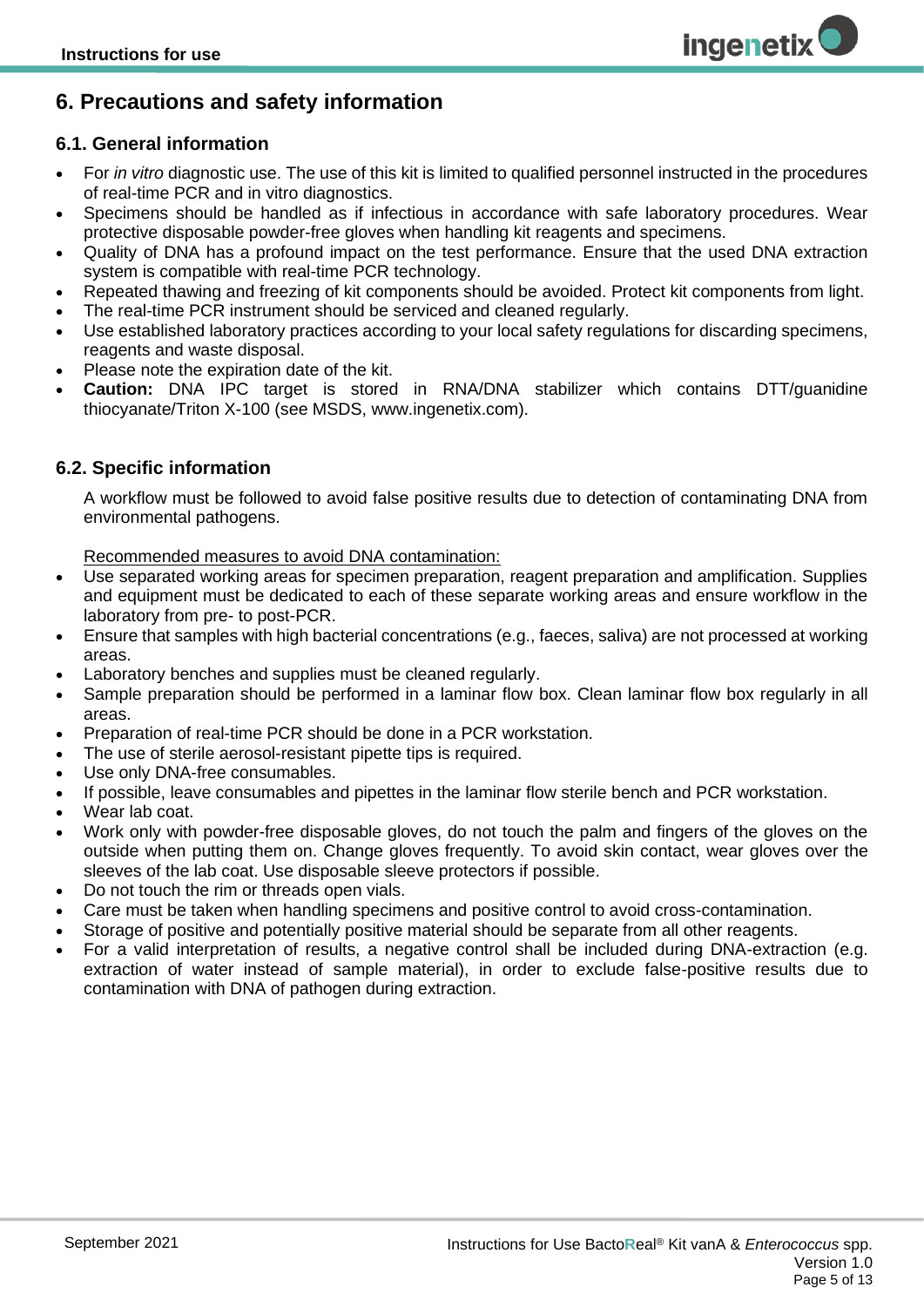## <span id="page-4-0"></span>**6. Precautions and safety information**

#### <span id="page-4-1"></span>**6.1. General information**

• For *in vitro* diagnostic use. The use of this kit is limited to qualified personnel instructed in the procedures of real-time PCR and in vitro diagnostics.

**ingenetix** 

- Specimens should be handled as if infectious in accordance with safe laboratory procedures. Wear protective disposable powder-free gloves when handling kit reagents and specimens.
- Quality of DNA has a profound impact on the test performance. Ensure that the used DNA extraction system is compatible with real-time PCR technology.
- Repeated thawing and freezing of kit components should be avoided. Protect kit components from light.
- The real-time PCR instrument should be serviced and cleaned regularly.
- Use established laboratory practices according to your local safety regulations for discarding specimens, reagents and waste disposal.
- Please note the expiration date of the kit.
- **Caution:** DNA IPC target is stored in RNA/DNA stabilizer which contains DTT/guanidine thiocyanate/Triton X-100 (see MSDS, www.ingenetix.com).

#### <span id="page-4-2"></span>**6.2. Specific information**

A workflow must be followed to avoid false positive results due to detection of contaminating DNA from environmental pathogens.

#### Recommended measures to avoid DNA contamination:

- Use separated working areas for specimen preparation, reagent preparation and amplification. Supplies and equipment must be dedicated to each of these separate working areas and ensure workflow in the laboratory from pre- to post-PCR.
- Ensure that samples with high bacterial concentrations (e.g., faeces, saliva) are not processed at working areas.
- Laboratory benches and supplies must be cleaned regularly.
- Sample preparation should be performed in a laminar flow box. Clean laminar flow box regularly in all areas.
- Preparation of real-time PCR should be done in a PCR workstation.
- The use of sterile aerosol-resistant pipette tips is required.
- Use only DNA-free consumables.
- If possible, leave consumables and pipettes in the laminar flow sterile bench and PCR workstation.
- Wear lab coat.
- Work only with powder-free disposable gloves, do not touch the palm and fingers of the gloves on the outside when putting them on. Change gloves frequently. To avoid skin contact, wear gloves over the sleeves of the lab coat. Use disposable sleeve protectors if possible.
- Do not touch the rim or threads open vials.
- Care must be taken when handling specimens and positive control to avoid cross-contamination.
- Storage of positive and potentially positive material should be separate from all other reagents.
- For a valid interpretation of results, a negative control shall be included during DNA-extraction (e.g. extraction of water instead of sample material), in order to exclude false-positive results due to contamination with DNA of pathogen during extraction.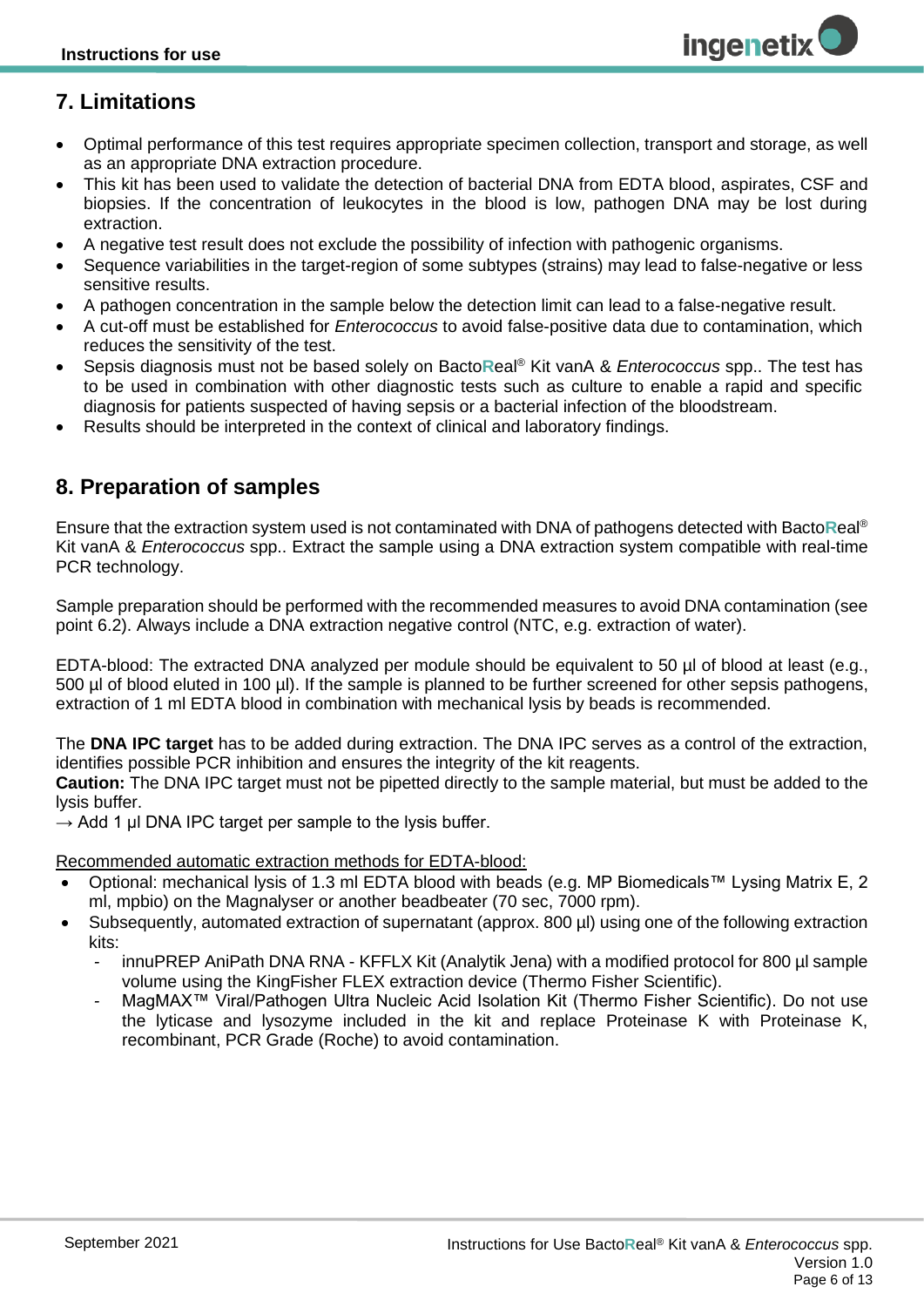## <span id="page-5-0"></span>**7. Limitations**

- Optimal performance of this test requires appropriate specimen collection, transport and storage, as well as an appropriate DNA extraction procedure.
- This kit has been used to validate the detection of bacterial DNA from EDTA blood, aspirates, CSF and biopsies. If the concentration of leukocytes in the blood is low, pathogen DNA may be lost during extraction.
- A negative test result does not exclude the possibility of infection with pathogenic organisms.
- Sequence variabilities in the target-region of some subtypes (strains) may lead to false-negative or less sensitive results.
- A pathogen concentration in the sample below the detection limit can lead to a false-negative result.
- A cut-off must be established for *Enterococcus* to avoid false-positive data due to contamination, which reduces the sensitivity of the test.
- Sepsis diagnosis must not be based solely on Bacto**R**eal® Kit vanA & *Enterococcus* spp.. The test has to be used in combination with other diagnostic tests such as culture to enable a rapid and specific diagnosis for patients suspected of having sepsis or a bacterial infection of the bloodstream.
- <span id="page-5-1"></span>• Results should be interpreted in the context of clinical and laboratory findings.

## **8. Preparation of samples**

Ensure that the extraction system used is not contaminated with DNA of pathogens detected with Bacto**R**eal® Kit vanA & *Enterococcus* spp.. Extract the sample using a DNA extraction system compatible with real-time PCR technology.

Sample preparation should be performed with the recommended measures to avoid DNA contamination (see point 6.2). Always include a DNA extraction negative control (NTC, e.g. extraction of water).

EDTA-blood: The extracted DNA analyzed per module should be equivalent to 50 µl of blood at least (e.g., 500 µl of blood eluted in 100 µl). If the sample is planned to be further screened for other sepsis pathogens, extraction of 1 ml EDTA blood in combination with mechanical lysis by beads is recommended.

The **DNA IPC target** has to be added during extraction. The DNA IPC serves as a control of the extraction, identifies possible PCR inhibition and ensures the integrity of the kit reagents.

**Caution:** The DNA IPC target must not be pipetted directly to the sample material, but must be added to the lysis buffer.

 $\rightarrow$  Add 1 µl DNA IPC target per sample to the lysis buffer.

Recommended automatic extraction methods for EDTA-blood:

- Optional: mechanical lysis of 1.3 ml EDTA blood with beads (e.g. MP Biomedicals™ Lysing Matrix E, 2 ml, mpbio) on the Magnalyser or another beadbeater (70 sec, 7000 rpm).
- Subsequently, automated extraction of supernatant (approx. 800 µl) using one of the following extraction kits:
	- *-* innuPREP AniPath DNA RNA KFFLX Kit (Analytik Jena) with a modified protocol for 800 µl sample volume using the KingFisher FLEX extraction device (Thermo Fisher Scientific).
	- *-* MagMAX™ Viral/Pathogen Ultra Nucleic Acid Isolation Kit (Thermo Fisher Scientific). Do not use the lyticase and lysozyme included in the kit and replace Proteinase K with Proteinase K, recombinant, PCR Grade (Roche) to avoid contamination.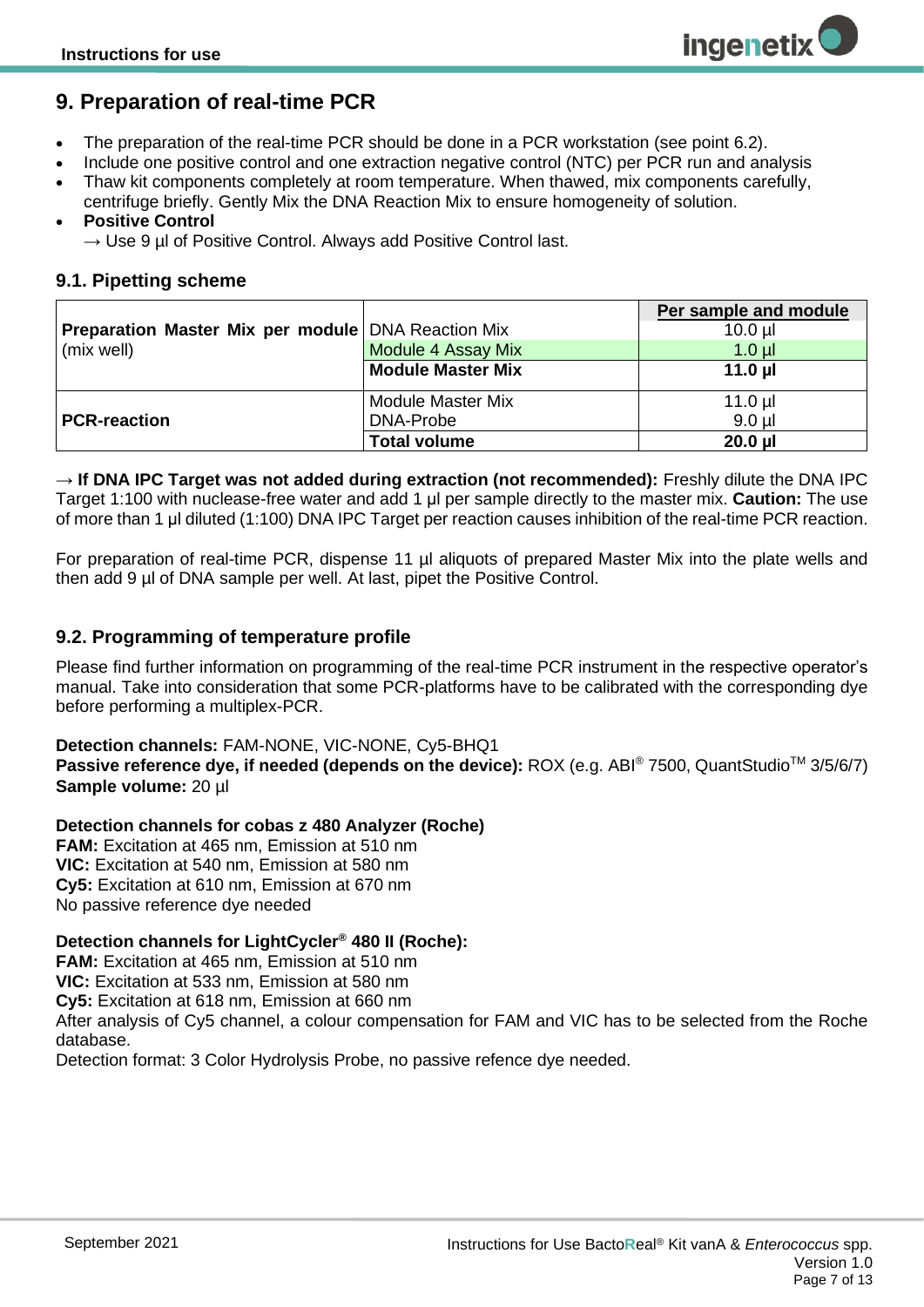## <span id="page-6-0"></span>**9. Preparation of real-time PCR**

- The preparation of the real-time PCR should be done in a PCR workstation (see point 6.2).
- Include one positive control and one extraction negative control (NTC) per PCR run and analysis
- Thaw kit components completely at room temperature. When thawed, mix components carefully, centrifuge briefly. Gently Mix the DNA Reaction Mix to ensure homogeneity of solution.

#### • **Positive Control**

 $\rightarrow$  Use 9 µl of Positive Control. Always add Positive Control last.

#### <span id="page-6-1"></span>**9.1. Pipetting scheme**

|                                                           |                          | Per sample and module |
|-----------------------------------------------------------|--------------------------|-----------------------|
| <b>Preparation Master Mix per module DNA Reaction Mix</b> |                          | $10.0$ $\mu$          |
| (mix well)                                                | Module 4 Assay Mix       | $1.0$ µl              |
|                                                           | <b>Module Master Mix</b> | 11.0 $\mu$            |
|                                                           | <b>Module Master Mix</b> | $11.0$ µl             |
| <b>PCR-reaction</b>                                       | DNA-Probe                | $9.0$ $\mu$           |
|                                                           | <b>Total volume</b>      | $20.0$ $\mu$          |

**→ If DNA IPC Target was not added during extraction (not recommended):** Freshly dilute the DNA IPC Target 1:100 with nuclease-free water and add 1 μl per sample directly to the master mix. **Caution:** The use of more than 1 μl diluted (1:100) DNA IPC Target per reaction causes inhibition of the real-time PCR reaction.

For preparation of real-time PCR, dispense 11 µl aliquots of prepared Master Mix into the plate wells and then add 9 µl of DNA sample per well. At last, pipet the Positive Control.

#### <span id="page-6-2"></span>**9.2. Programming of temperature profile**

Please find further information on programming of the real-time PCR instrument in the respective operator's manual. Take into consideration that some PCR-platforms have to be calibrated with the corresponding dye before performing a multiplex-PCR.

#### **Detection channels:** FAM-NONE, VIC-NONE, Cy5-BHQ1

**Passive reference dye, if needed (depends on the device):** ROX (e.g. ABI® 7500, QuantStudio™ 3/5/6/7) **Sample volume:** 20 µl

#### **Detection channels for cobas z 480 Analyzer (Roche)**

**FAM:** Excitation at 465 nm, Emission at 510 nm **VIC:** Excitation at 540 nm, Emission at 580 nm **Cy5:** Excitation at 610 nm, Emission at 670 nm No passive reference dye needed

#### **Detection channels for LightCycler® 480 II (Roche):**

**FAM:** Excitation at 465 nm, Emission at 510 nm **VIC:** Excitation at 533 nm, Emission at 580 nm **Cy5:** Excitation at 618 nm, Emission at 660 nm After analysis of Cy5 channel, a colour compensation for FAM and VIC has to be selected from the Roche database.

Detection format: 3 Color Hydrolysis Probe, no passive refence dye needed.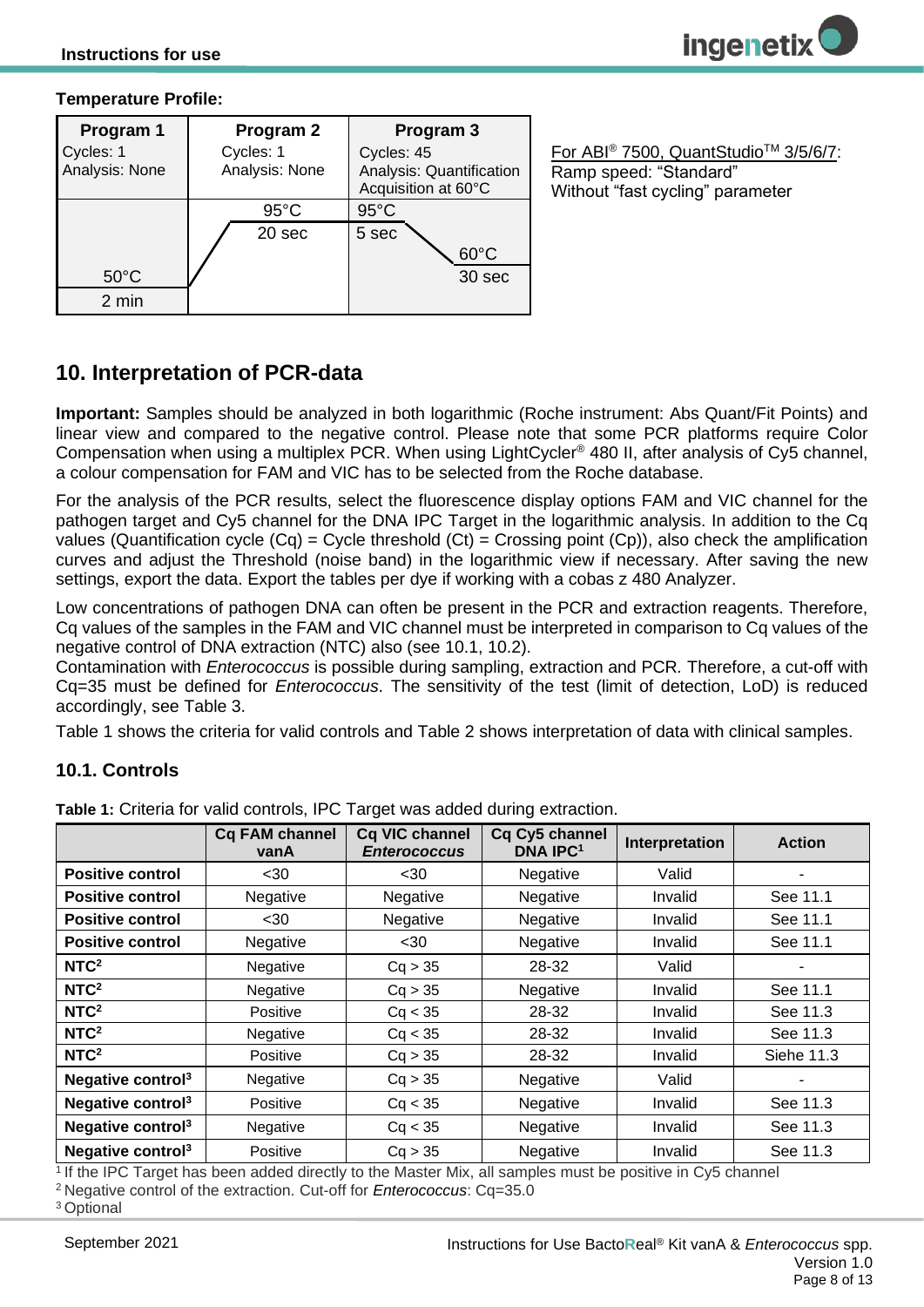#### **Temperature Profile:**

| Program 1                   | Program 2                   | Program 3                                                     |
|-----------------------------|-----------------------------|---------------------------------------------------------------|
| Cycles: 1<br>Analysis: None | Cycles: 1<br>Analysis: None | Cycles: 45<br>Analysis: Quantification<br>Acquisition at 60°C |
|                             | $95^{\circ}$ C              | $95^{\circ}$ C                                                |
|                             | 20 sec                      | 5 sec<br>$60^{\circ}$ C                                       |
| $50^{\circ}$ C              |                             | 30 sec                                                        |
| 2 min                       |                             |                                                               |

For ABI® 7500, QuantStudioTM 3/5/6/7: Ramp speed: "Standard" Without "fast cycling" parameter

## <span id="page-7-0"></span>**10. Interpretation of PCR-data**

**Important:** Samples should be analyzed in both logarithmic (Roche instrument: Abs Quant/Fit Points) and linear view and compared to the negative control. Please note that some PCR platforms require Color Compensation when using a multiplex PCR. When using LightCycler® 480 II, after analysis of Cy5 channel, a colour compensation for FAM and VIC has to be selected from the Roche database.

For the analysis of the PCR results, select the fluorescence display options FAM and VIC channel for the pathogen target and Cy5 channel for the DNA IPC Target in the logarithmic analysis. In addition to the Cq values (Quantification cycle  $(Cq)$  = Cycle threshold  $(Ct)$  = Crossing point  $(Cp)$ ), also check the amplification curves and adjust the Threshold (noise band) in the logarithmic view if necessary. After saving the new settings, export the data. Export the tables per dye if working with a cobas z 480 Analyzer.

Low concentrations of pathogen DNA can often be present in the PCR and extraction reagents. Therefore, Cq values of the samples in the FAM and VIC channel must be interpreted in comparison to Cq values of the negative control of DNA extraction (NTC) also (see 10.1, 10.2).

Contamination with *Enterococcus* is possible during sampling, extraction and PCR*.* Therefore, a cut-off with Cq=35 must be defined for *Enterococcus*. The sensitivity of the test (limit of detection, LoD) is reduced accordingly, see [Table 3.](#page-10-4)

[Table 1](#page-7-2) shows the criteria for valid controls and [Table 2](#page-8-1) shows interpretation of data with clinical samples.

#### <span id="page-7-1"></span>**10.1. Controls**

|                               | <b>Cg FAM channel</b><br>vanA | Cq VIC channel<br><b>Enterococcus</b> | Cq Cy5 channel<br><b>DNA IPC1</b> | Interpretation | <b>Action</b> |
|-------------------------------|-------------------------------|---------------------------------------|-----------------------------------|----------------|---------------|
| <b>Positive control</b>       | $30$                          | $30$                                  | Negative                          | Valid          |               |
| <b>Positive control</b>       | Negative                      | Negative                              | Negative                          | Invalid        | See 11.1      |
| <b>Positive control</b>       | $30$                          | Negative                              | <b>Negative</b>                   | Invalid        | See 11.1      |
| <b>Positive control</b>       | Negative                      | $30$                                  | Negative                          | Invalid        | See 11.1      |
| NTC <sup>2</sup>              | Negative                      | Cq > 35                               | 28-32                             | Valid          |               |
| NTC <sup>2</sup>              | Negative                      | Cq > 35                               | Negative                          | Invalid        | See 11.1      |
| NTC <sup>2</sup>              | Positive                      | Cq < 35                               | 28-32                             | Invalid        | See 11.3      |
| NTC <sup>2</sup>              | Negative                      | Cq < 35                               | 28-32                             | Invalid        | See 11.3      |
| NTC <sup>2</sup>              | Positive                      | Cq > 35                               | 28-32                             | Invalid        | Siehe 11.3    |
| Negative control $3$          | Negative                      | Cq > 35                               | Negative                          | Valid          |               |
| Negative control <sup>3</sup> | Positive                      | Cq < 35                               | Negative                          | Invalid        | See 11.3      |
| Negative control <sup>3</sup> | Negative                      | Cq < 35                               | Negative                          | Invalid        | See 11.3      |
| Negative control <sup>3</sup> | Positive                      | Cq > 35                               | Negative                          | Invalid        | See 11.3      |

<span id="page-7-2"></span>**Table 1:** Criteria for valid controls, IPC Target was added during extraction.

<sup>1</sup>If the IPC Target has been added directly to the Master Mix, all samples must be positive in Cy5 channel

<sup>2</sup>Negative control of the extraction. Cut-off for *Enterococcus*: Cq=35.0

<sup>3</sup>Optional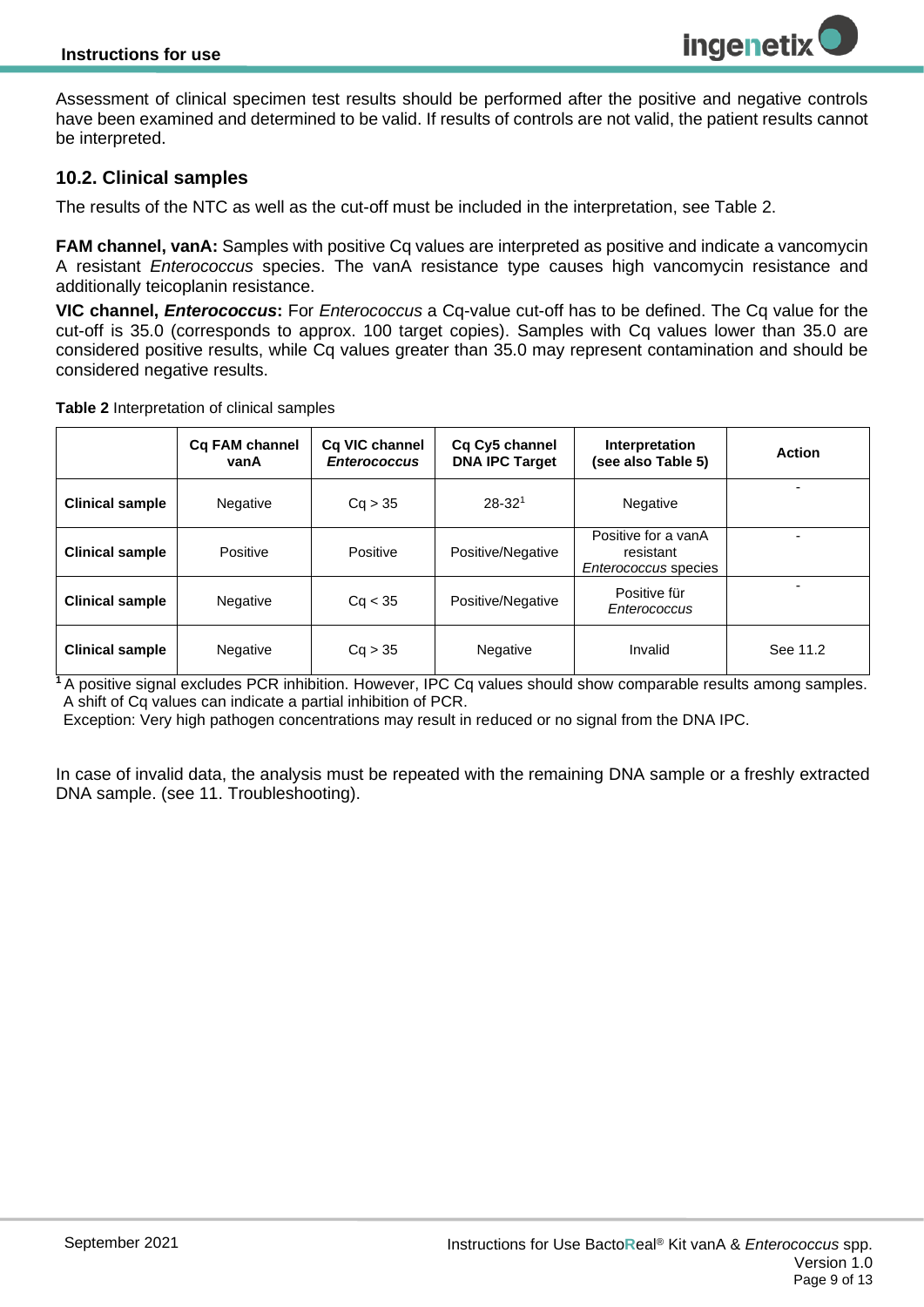Assessment of clinical specimen test results should be performed after the positive and negative controls have been examined and determined to be valid. If results of controls are not valid, the patient results cannot be interpreted.

#### <span id="page-8-0"></span>**10.2. Clinical samples**

The results of the NTC as well as the cut-off must be included in the interpretation, see [Table 2.](#page-8-1)

**FAM channel, vanA:** Samples with positive Cq values are interpreted as positive and indicate a vancomycin A resistant *Enterococcus* species. The vanA resistance type causes high vancomycin resistance and additionally teicoplanin resistance.

**VIC channel,** *Enterococcus***:** For *Enterococcus* a Cq-value cut-off has to be defined. The Cq value for the cut-off is 35.0 (corresponds to approx. 100 target copies). Samples with Cq values lower than 35.0 are considered positive results, while Cq values greater than 35.0 may represent contamination and should be considered negative results.

<span id="page-8-1"></span>**Table 2** Interpretation of clinical samples

|                        | Cq FAM channel<br>vanA | Cq VIC channel<br><b>Enterococcus</b> | Cq Cy5 channel<br><b>DNA IPC Target</b> | Interpretation<br>(see also Table 5)                            | <b>Action</b> |
|------------------------|------------------------|---------------------------------------|-----------------------------------------|-----------------------------------------------------------------|---------------|
| <b>Clinical sample</b> | <b>Negative</b>        | Cq > 35                               | $28 - 321$                              | Negative                                                        |               |
| <b>Clinical sample</b> | Positive               | Positive                              | Positive/Negative                       | Positive for a vanA<br>resistant<br><i>Enterococcus</i> species |               |
| <b>Clinical sample</b> | <b>Negative</b>        | Ca < 35                               | Positive/Negative                       | Positive für<br>Enterococcus                                    |               |
| <b>Clinical sample</b> | <b>Negative</b>        | Cq > 35                               | Negative                                | Invalid                                                         | See 11.2      |

<sup>1</sup>A positive signal excludes PCR inhibition. However, IPC Cq values should show comparable results among samples. A shift of Cq values can indicate a partial inhibition of PCR.

Exception: Very high pathogen concentrations may result in reduced or no signal from the DNA IPC.

In case of invalid data, the analysis must be repeated with the remaining DNA sample or a freshly extracted DNA sample. (see 11. Troubleshooting).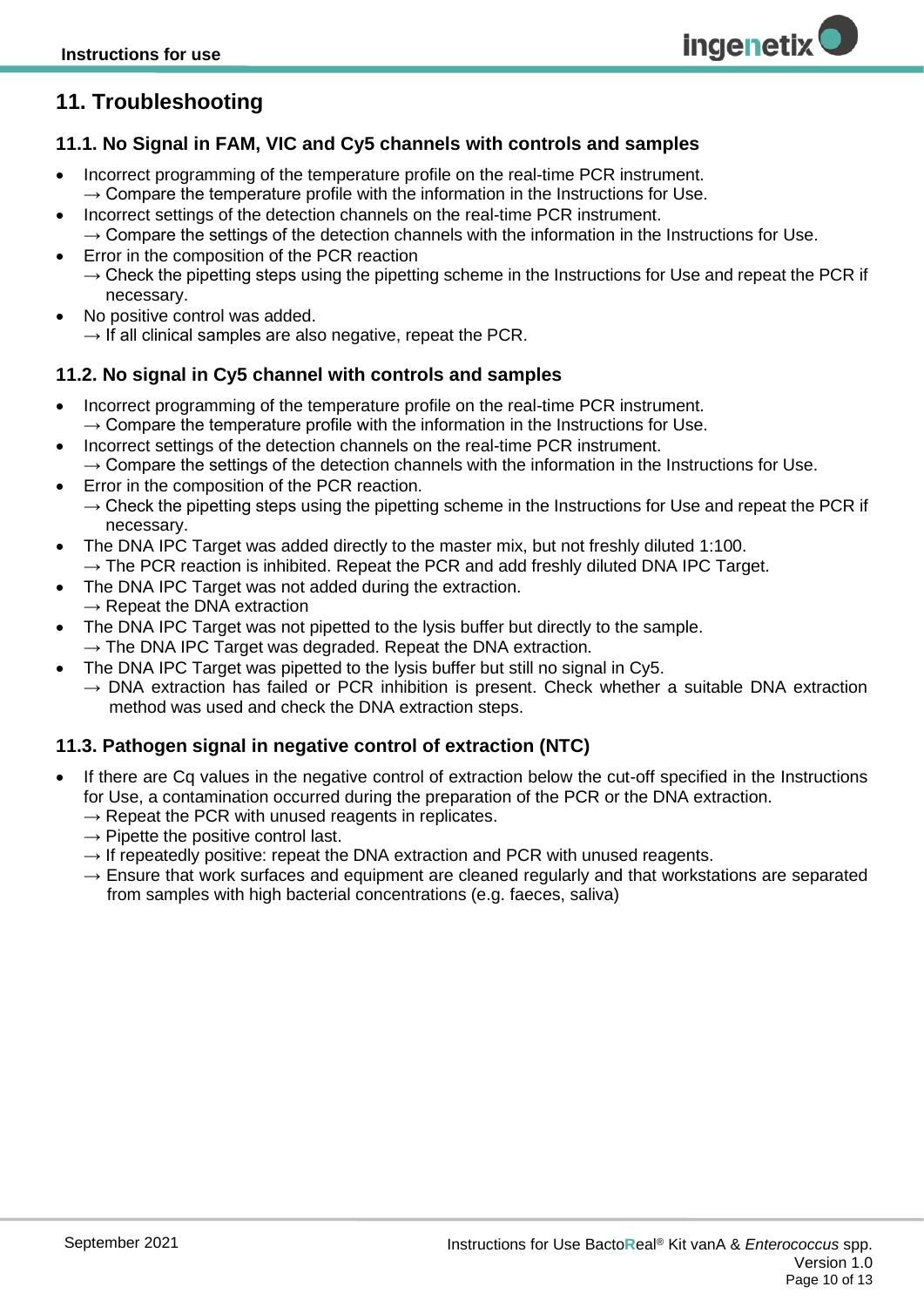## <span id="page-9-0"></span>**11. Troubleshooting**

#### <span id="page-9-1"></span>**11.1. No Signal in FAM, VIC and Cy5 channels with controls and samples**

- Incorrect programming of the temperature profile on the real-time PCR instrument.  $\rightarrow$  Compare the temperature profile with the information in the Instructions for Use.
- Incorrect settings of the detection channels on the real-time PCR instrument.  $\rightarrow$  Compare the settings of the detection channels with the information in the Instructions for Use.
- Error in the composition of the PCR reaction
	- $\rightarrow$  Check the pipetting steps using the pipetting scheme in the Instructions for Use and repeat the PCR if necessary.
- No positive control was added.
	- $\rightarrow$  If all clinical samples are also negative, repeat the PCR.

#### <span id="page-9-2"></span>**11.2. No signal in Cy5 channel with controls and samples**

- Incorrect programming of the temperature profile on the real-time PCR instrument.  $\rightarrow$  Compare the temperature profile with the information in the Instructions for Use.
- Incorrect settings of the detection channels on the real-time PCR instrument.  $\rightarrow$  Compare the settings of the detection channels with the information in the Instructions for Use.
- Error in the composition of the PCR reaction.
- $\rightarrow$  Check the pipetting steps using the pipetting scheme in the Instructions for Use and repeat the PCR if necessary.
- The DNA IPC Target was added directly to the master mix, but not freshly diluted 1:100.  $\rightarrow$  The PCR reaction is inhibited. Repeat the PCR and add freshly diluted DNA IPC Target.
- The DNA IPC Target was not added during the extraction.
- $\rightarrow$  Repeat the DNA extraction
- The DNA IPC Target was not pipetted to the lysis buffer but directly to the sample.  $\rightarrow$  The DNA IPC Target was degraded. Repeat the DNA extraction.
	- The DNA IPC Target was pipetted to the lysis buffer but still no signal in Cy5.
		- $\rightarrow$  DNA extraction has failed or PCR inhibition is present. Check whether a suitable DNA extraction method was used and check the DNA extraction steps.

#### <span id="page-9-3"></span>**11.3. Pathogen signal in negative control of extraction (NTC)**

- If there are Cq values in the negative control of extraction below the cut-off specified in the Instructions for Use, a contamination occurred during the preparation of the PCR or the DNA extraction.
	- $\rightarrow$  Repeat the PCR with unused reagents in replicates.
	- $\rightarrow$  Pipette the positive control last.
	- $\rightarrow$  If repeatedly positive: repeat the DNA extraction and PCR with unused reagents.
	- $\rightarrow$  Ensure that work surfaces and equipment are cleaned regularly and that workstations are separated from samples with high bacterial concentrations (e.g. faeces, saliva)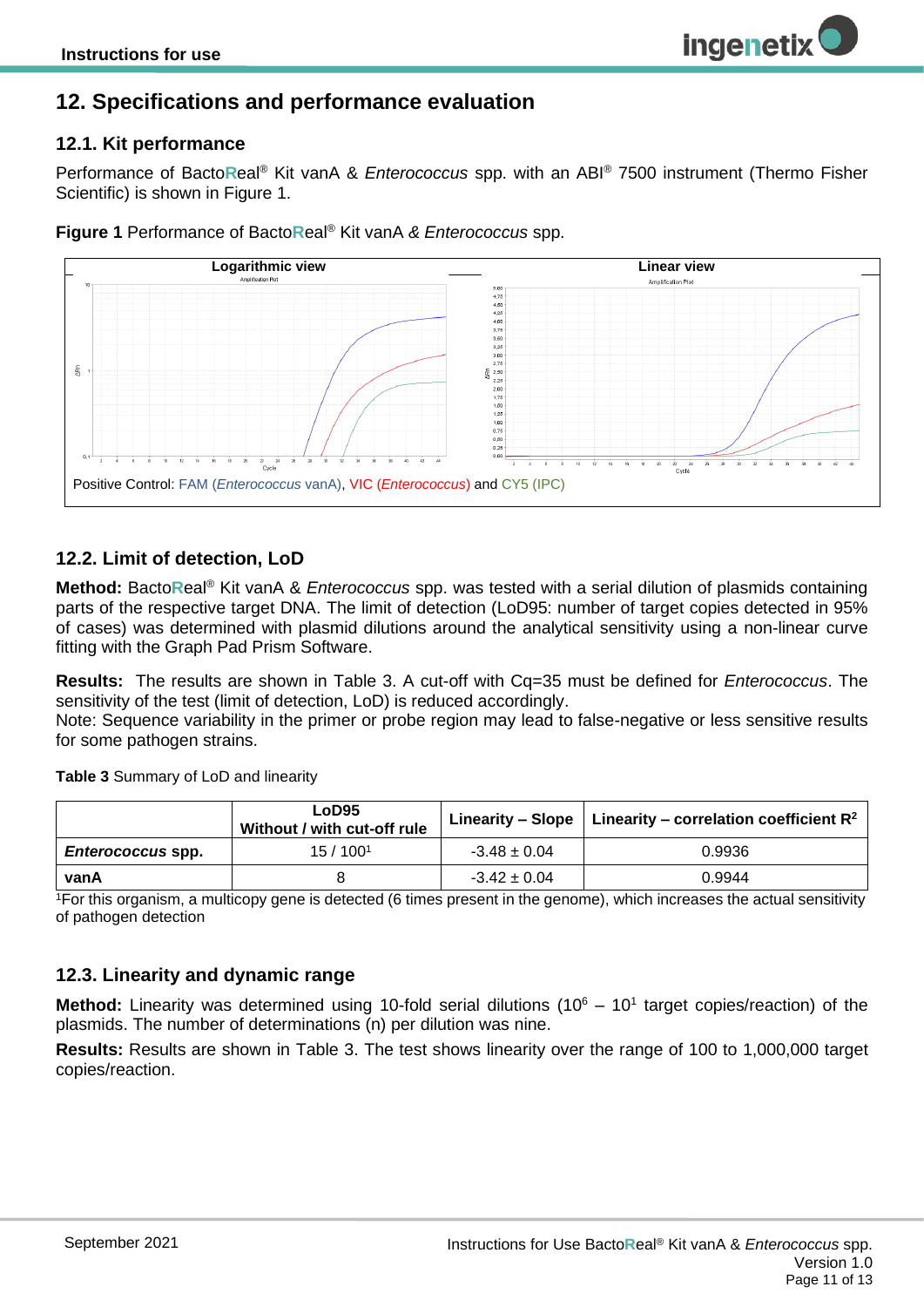### <span id="page-10-0"></span>**12. Specifications and performance evaluation**

#### <span id="page-10-1"></span>**12.1. Kit performance**

Performance of Bacto**R**eal® Kit vanA & *Enterococcus* spp. with an ABI® 7500 instrument (Thermo Fisher Scientific) is shown in Figure 1.

**ingenetix** 



**Figure 1** Performance of Bacto**R**eal® Kit vanA *& Enterococcus* spp.

#### <span id="page-10-2"></span>**12.2. Limit of detection, LoD**

**Method:** Bacto**R**eal® Kit vanA & *Enterococcus* spp. was tested with a serial dilution of plasmids containing parts of the respective target DNA. The limit of detection (LoD95: number of target copies detected in 95% of cases) was determined with plasmid dilutions around the analytical sensitivity using a non-linear curve fitting with the Graph Pad Prism Software.

**Results:** The results are shown in [Table 3.](#page-10-4) A cut-off with Cq=35 must be defined for *Enterococcus*. The sensitivity of the test (limit of detection, LoD) is reduced accordingly.

Note: Sequence variability in the primer or probe region may lead to false-negative or less sensitive results for some pathogen strains.

<span id="page-10-4"></span>**Table 3** Summary of LoD and linearity

|                          | LoD <sub>95</sub><br>Without / with cut-off rule |                  | Linearity – Slope   Linearity – correlation coefficient $R^2$ |  |  |
|--------------------------|--------------------------------------------------|------------------|---------------------------------------------------------------|--|--|
| <i>Enterococcus</i> spp. | 15/100 <sup>1</sup>                              | $-3.48 \pm 0.04$ | 0.9936                                                        |  |  |
| vanA                     |                                                  | $-3.42 \pm 0.04$ | 0.9944                                                        |  |  |

<sup>1</sup>For this organism, a multicopy gene is detected (6 times present in the genome), which increases the actual sensitivity of pathogen detection

#### <span id="page-10-3"></span>**12.3. Linearity and dynamic range**

Method: Linearity was determined using 10-fold serial dilutions (10<sup>6</sup> – 10<sup>1</sup> target copies/reaction) of the plasmids. The number of determinations (n) per dilution was nine.

**Results:** Results are shown in [Table 3.](#page-10-4) The test shows linearity over the range of 100 to 1,000,000 target copies/reaction.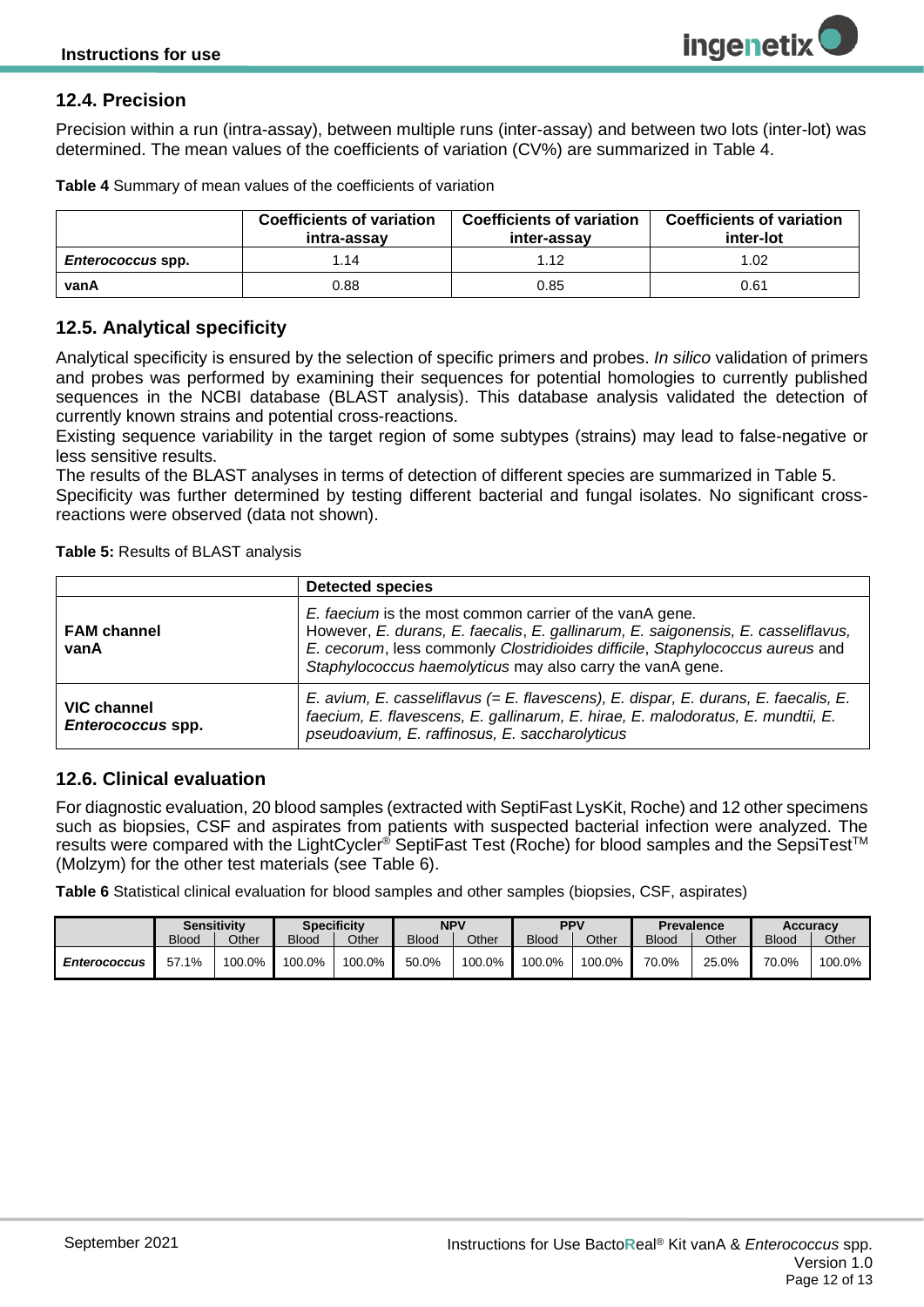### <span id="page-11-0"></span>**12.4. Precision**

Precision within a run (intra-assay), between multiple runs (inter-assay) and between two lots (inter-lot) was determined. The mean values of the coefficients of variation (CV%) are summarized in [Table 4.](#page-11-4)

|                          | <b>Coefficients of variation</b><br>intra-assav | <b>Coefficients of variation</b><br>inter-assay | <b>Coefficients of variation</b><br>inter-lot |
|--------------------------|-------------------------------------------------|-------------------------------------------------|-----------------------------------------------|
| <i>Enterococcus</i> spp. | 1.14                                            | 1.12                                            | 1.02                                          |
| vanA                     | 0.88                                            | 0.85                                            | 0.61                                          |

<span id="page-11-4"></span>**Table 4** Summary of mean values of the coefficients of variation

#### <span id="page-11-1"></span>**12.5. Analytical specificity**

Analytical specificity is ensured by the selection of specific primers and probes. *In silico* validation of primers and probes was performed by examining their sequences for potential homologies to currently published sequences in the NCBI database (BLAST analysis). This database analysis validated the detection of currently known strains and potential cross-reactions.

Existing sequence variability in the target region of some subtypes (strains) may lead to false-negative or less sensitive results.

The results of the BLAST analyses in terms of detection of different species are summarized in Table 5. Specificity was further determined by testing different bacterial and fungal isolates. No significant crossreactions were observed (data not shown).

<span id="page-11-3"></span>**Table 5:** Results of BLAST analysis

|                                         | <b>Detected species</b>                                                                                                                                                                                                                                                                    |
|-----------------------------------------|--------------------------------------------------------------------------------------------------------------------------------------------------------------------------------------------------------------------------------------------------------------------------------------------|
| <b>FAM channel</b><br>vanA              | E. faecium is the most common carrier of the vanA gene.<br>However, E. durans, E. faecalis, E. gallinarum, E. saigonensis, E. casseliflavus,<br>E. cecorum, less commonly Clostridioides difficile, Staphylococcus aureus and<br>Staphylococcus haemolyticus may also carry the vanA gene. |
| <b>VIC channel</b><br>Enterococcus spp. | E. avium, E. casseliflavus (= E. flavescens), E. dispar, E. durans, E. faecalis, E.<br>faecium, E. flavescens, E. gallinarum, E. hirae, E. malodoratus, E. mundtii, E.<br>pseudoavium, E. raffinosus, E. saccharolyticus                                                                   |

#### <span id="page-11-2"></span>**12.6. Clinical evaluation**

For diagnostic evaluation, 20 blood samples (extracted with SeptiFast LysKit, Roche) and 12 other specimens such as biopsies, CSF and aspirates from patients with suspected bacterial infection were analyzed. The results were compared with the LightCycler® SeptiFast Test (Roche) for blood samples and the SepsiTest<sup>™</sup> (Molzym) for the other test materials (see [Table 6\)](#page-11-5).

<span id="page-11-5"></span>**Table 6** Statistical clinical evaluation for blood samples and other samples (biopsies, CSF, aspirates)

|                     | <b>Sensitivity</b> |        |              | <b>Specificity</b> | NPV          |        | <b>PPV</b>   |        |              | <b>Prevalence</b> | Accuracy     |        |
|---------------------|--------------------|--------|--------------|--------------------|--------------|--------|--------------|--------|--------------|-------------------|--------------|--------|
|                     | <b>Blood</b>       | Other  | <b>Blood</b> | Other              | <b>Blood</b> | Other  | <b>Blood</b> | Other  | <b>Blood</b> | Other             | <b>Blood</b> | Other  |
| <b>Enterococcus</b> | 57.1%              | 100.0% | 100.0%       | 100.0%             | 50.0%        | 100.0% | 100.0%       | 100.0% | 70.0%        | 25.0%             | 70.0%        | 100.0% |